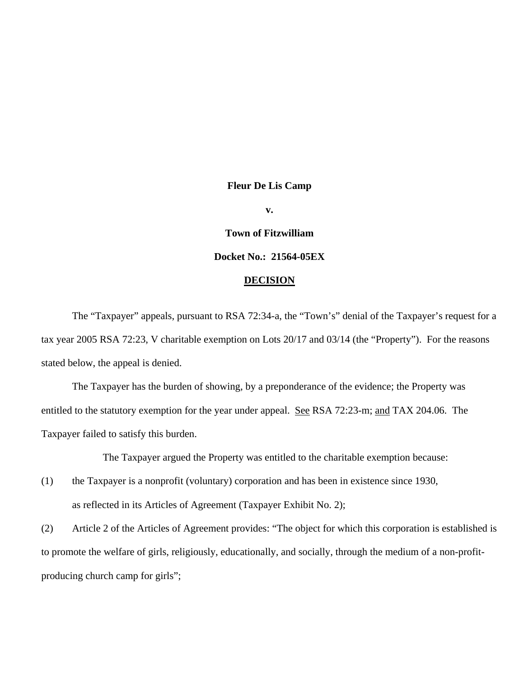#### **Fleur De Lis Camp**

**v.** 

# **Town of Fitzwilliam**

# **Docket No.: 21564-05EX**

#### **DECISION**

 The "Taxpayer" appeals, pursuant to RSA 72:34-a, the "Town's" denial of the Taxpayer's request for a tax year 2005 RSA 72:23, V charitable exemption on Lots 20/17 and 03/14 (the "Property"). For the reasons stated below, the appeal is denied.

The Taxpayer has the burden of showing, by a preponderance of the evidence; the Property was entitled to the statutory exemption for the year under appeal. See RSA 72:23-m; and TAX 204.06. The Taxpayer failed to satisfy this burden.

The Taxpayer argued the Property was entitled to the charitable exemption because:

(1) the Taxpayer is a nonprofit (voluntary) corporation and has been in existence since 1930, as reflected in its Articles of Agreement (Taxpayer Exhibit No. 2);

(2) Article 2 of the Articles of Agreement provides: "The object for which this corporation is established is to promote the welfare of girls, religiously, educationally, and socially, through the medium of a non-profitproducing church camp for girls";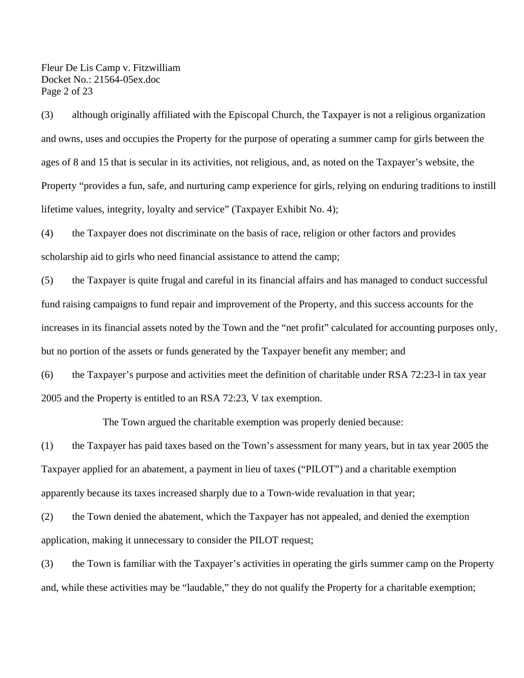Fleur De Lis Camp v. Fitzwilliam Docket No.: 21564-05ex.doc Page 2 of 23

(3) although originally affiliated with the Episcopal Church, the Taxpayer is not a religious organization and owns, uses and occupies the Property for the purpose of operating a summer camp for girls between the ages of 8 and 15 that is secular in its activities, not religious, and, as noted on the Taxpayer's website, the Property "provides a fun, safe, and nurturing camp experience for girls, relying on enduring traditions to instill lifetime values, integrity, loyalty and service" (Taxpayer Exhibit No. 4);

(4) the Taxpayer does not discriminate on the basis of race, religion or other factors and provides scholarship aid to girls who need financial assistance to attend the camp;

(5) the Taxpayer is quite frugal and careful in its financial affairs and has managed to conduct successful fund raising campaigns to fund repair and improvement of the Property, and this success accounts for the increases in its financial assets noted by the Town and the "net profit" calculated for accounting purposes only, but no portion of the assets or funds generated by the Taxpayer benefit any member; and

(6) the Taxpayer's purpose and activities meet the definition of charitable under RSA 72:23-l in tax year 2005 and the Property is entitled to an RSA 72:23, V tax exemption.

The Town argued the charitable exemption was properly denied because:

(1) the Taxpayer has paid taxes based on the Town's assessment for many years, but in tax year 2005 the Taxpayer applied for an abatement, a payment in lieu of taxes ("PILOT") and a charitable exemption apparently because its taxes increased sharply due to a Town-wide revaluation in that year;

(2) the Town denied the abatement, which the Taxpayer has not appealed, and denied the exemption application, making it unnecessary to consider the PILOT request;

(3) the Town is familiar with the Taxpayer's activities in operating the girls summer camp on the Property and, while these activities may be "laudable," they do not qualify the Property for a charitable exemption;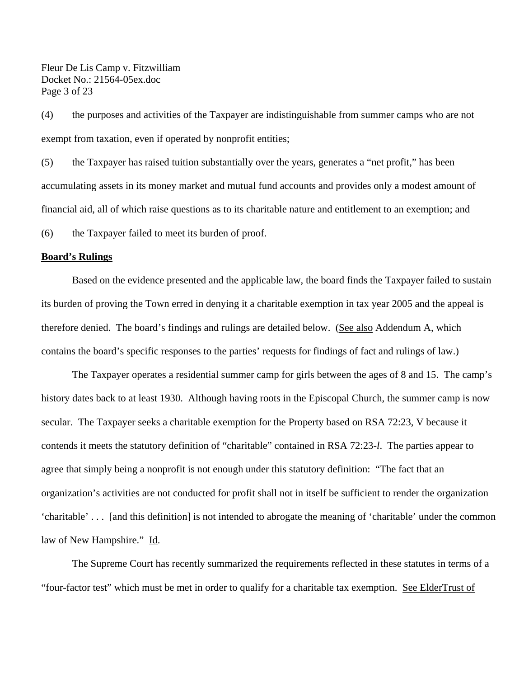Fleur De Lis Camp v. Fitzwilliam Docket No.: 21564-05ex.doc Page 3 of 23

(4) the purposes and activities of the Taxpayer are indistinguishable from summer camps who are not exempt from taxation, even if operated by nonprofit entities;

(5) the Taxpayer has raised tuition substantially over the years, generates a "net profit," has been accumulating assets in its money market and mutual fund accounts and provides only a modest amount of financial aid, all of which raise questions as to its charitable nature and entitlement to an exemption; and (6) the Taxpayer failed to meet its burden of proof.

#### **Board's Rulings**

 Based on the evidence presented and the applicable law, the board finds the Taxpayer failed to sustain its burden of proving the Town erred in denying it a charitable exemption in tax year 2005 and the appeal is therefore denied. The board's findings and rulings are detailed below. (See also Addendum A, which contains the board's specific responses to the parties' requests for findings of fact and rulings of law.)

The Taxpayer operates a residential summer camp for girls between the ages of 8 and 15. The camp's history dates back to at least 1930. Although having roots in the Episcopal Church, the summer camp is now secular. The Taxpayer seeks a charitable exemption for the Property based on RSA 72:23, V because it contends it meets the statutory definition of "charitable" contained in RSA 72:23-*l*. The parties appear to agree that simply being a nonprofit is not enough under this statutory definition: "The fact that an organization's activities are not conducted for profit shall not in itself be sufficient to render the organization 'charitable' . . . [and this definition] is not intended to abrogate the meaning of 'charitable' under the common law of New Hampshire." Id.

The Supreme Court has recently summarized the requirements reflected in these statutes in terms of a "four-factor test" which must be met in order to qualify for a charitable tax exemption. See ElderTrust of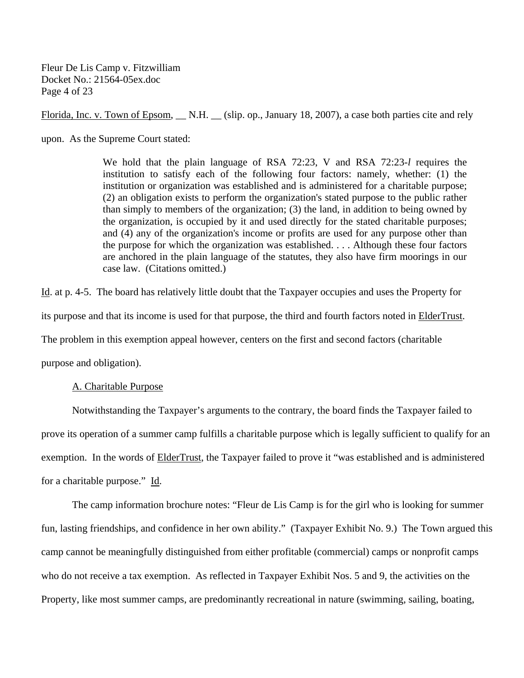Fleur De Lis Camp v. Fitzwilliam Docket No.: 21564-05ex.doc Page 4 of 23

Florida, Inc. v. Town of Epsom, \_\_ N.H. \_\_ (slip. op., January 18, 2007), a case both parties cite and rely

upon. As the Supreme Court stated:

We hold that the plain language of RSA 72:23, V and RSA 72:23-*l* requires the institution to satisfy each of the following four factors: namely, whether: (1) the institution or organization was established and is administered for a charitable purpose; (2) an obligation exists to perform the organization's stated purpose to the public rather than simply to members of the organization; (3) the land, in addition to being owned by the organization, is occupied by it and used directly for the stated charitable purposes; and (4) any of the organization's income or profits are used for any purpose other than the purpose for which the organization was established. . . . Although these four factors are anchored in the plain language of the statutes, they also have firm moorings in our case law. (Citations omitted.)

Id. at p. 4-5. The board has relatively little doubt that the Taxpayer occupies and uses the Property for its purpose and that its income is used for that purpose, the third and fourth factors noted in ElderTrust. The problem in this exemption appeal however, centers on the first and second factors (charitable purpose and obligation).

#### A. Charitable Purpose

 Notwithstanding the Taxpayer's arguments to the contrary, the board finds the Taxpayer failed to prove its operation of a summer camp fulfills a charitable purpose which is legally sufficient to qualify for an exemption. In the words of ElderTrust, the Taxpayer failed to prove it "was established and is administered for a charitable purpose." Id.

The camp information brochure notes: "Fleur de Lis Camp is for the girl who is looking for summer fun, lasting friendships, and confidence in her own ability." (Taxpayer Exhibit No. 9.) The Town argued this camp cannot be meaningfully distinguished from either profitable (commercial) camps or nonprofit camps who do not receive a tax exemption. As reflected in Taxpayer Exhibit Nos. 5 and 9, the activities on the Property, like most summer camps, are predominantly recreational in nature (swimming, sailing, boating,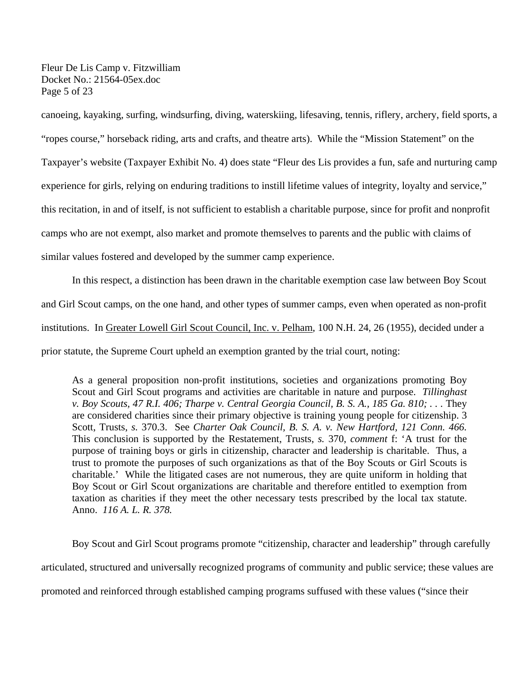Fleur De Lis Camp v. Fitzwilliam Docket No.: 21564-05ex.doc Page 5 of 23

canoeing, kayaking, surfing, windsurfing, diving, waterskiing, lifesaving, tennis, riflery, archery, field sports, a

"ropes course," horseback riding, arts and crafts, and theatre arts). While the "Mission Statement" on the

Taxpayer's website (Taxpayer Exhibit No. 4) does state "Fleur des Lis provides a fun, safe and nurturing camp

experience for girls, relying on enduring traditions to instill lifetime values of integrity, loyalty and service,"

this recitation, in and of itself, is not sufficient to establish a charitable purpose, since for profit and nonprofit

camps who are not exempt, also market and promote themselves to parents and the public with claims of

similar values fostered and developed by the summer camp experience.

In this respect, a distinction has been drawn in the charitable exemption case law between Boy Scout and Girl Scout camps, on the one hand, and other types of summer camps, even when operated as non-profit institutions. In Greater Lowell Girl Scout Council, Inc. v. Pelham, 100 N.H. 24, 26 (1955), decided under a prior statute, the Supreme Court upheld an exemption granted by the trial court, noting:

 As a general proposition non-profit institutions, societies and organizations promoting Boy Scout and Girl Scout programs and activities are charitable in nature and purpose. *Tillinghast v. Boy Scouts, 47 R.I. 406; Tharpe v. Central Georgia Council, B. S. A., 185 Ga. 810; . . .* They are considered charities since their primary objective is training young people for citizenship. 3 Scott, Trusts, *s.* 370.3. See *Charter Oak Council, B. S. A. v. New Hartford, 121 Conn. 466.* This conclusion is supported by the Restatement, Trusts, *s.* 370, *comment* f: 'A trust for the purpose of training boys or girls in citizenship, character and leadership is charitable. Thus, a trust to promote the purposes of such organizations as that of the Boy Scouts or Girl Scouts is charitable.' While the litigated cases are not numerous, they are quite uniform in holding that Boy Scout or Girl Scout organizations are charitable and therefore entitled to exemption from taxation as charities if they meet the other necessary tests prescribed by the local tax statute. Anno. *116 A. L. R. 378.* 

Boy Scout and Girl Scout programs promote "citizenship, character and leadership" through carefully articulated, structured and universally recognized programs of community and public service; these values are promoted and reinforced through established camping programs suffused with these values ("since their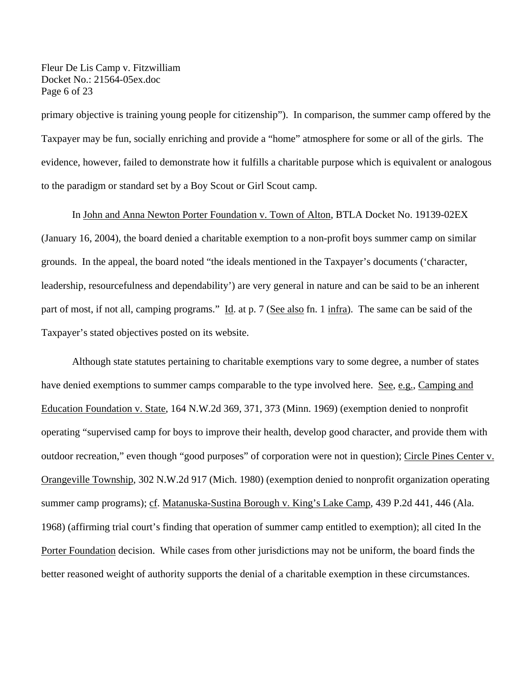Fleur De Lis Camp v. Fitzwilliam Docket No.: 21564-05ex.doc Page 6 of 23

primary objective is training young people for citizenship"). In comparison, the summer camp offered by the Taxpayer may be fun, socially enriching and provide a "home" atmosphere for some or all of the girls. The evidence, however, failed to demonstrate how it fulfills a charitable purpose which is equivalent or analogous to the paradigm or standard set by a Boy Scout or Girl Scout camp.

#### In John and Anna Newton Porter Foundation v. Town of Alton, BTLA Docket No. 19139-02EX

(January 16, 2004), the board denied a charitable exemption to a non-profit boys summer camp on similar grounds. In the appeal, the board noted "the ideals mentioned in the Taxpayer's documents ('character, leadership, resourcefulness and dependability') are very general in nature and can be said to be an inherent part of most, if not all, camping programs." Id. at p. 7 (See also fn. 1 infra). The same can be said of the Taxpayer's stated objectives posted on its website.

Although state statutes pertaining to charitable exemptions vary to some degree, a number of states have denied exemptions to summer camps comparable to the type involved here. See, e.g., Camping and Education Foundation v. State, 164 N.W.2d 369, 371, 373 (Minn. 1969) (exemption denied to nonprofit operating "supervised camp for boys to improve their health, develop good character, and provide them with outdoor recreation," even though "good purposes" of corporation were not in question); Circle Pines Center v. Orangeville Township, 302 N.W.2d 917 (Mich. 1980) (exemption denied to nonprofit organization operating summer camp programs); cf. Matanuska-Sustina Borough v. King's Lake Camp, 439 P.2d 441, 446 (Ala. 1968) (affirming trial court's finding that operation of summer camp entitled to exemption); all cited In the Porter Foundation decision. While cases from other jurisdictions may not be uniform, the board finds the better reasoned weight of authority supports the denial of a charitable exemption in these circumstances.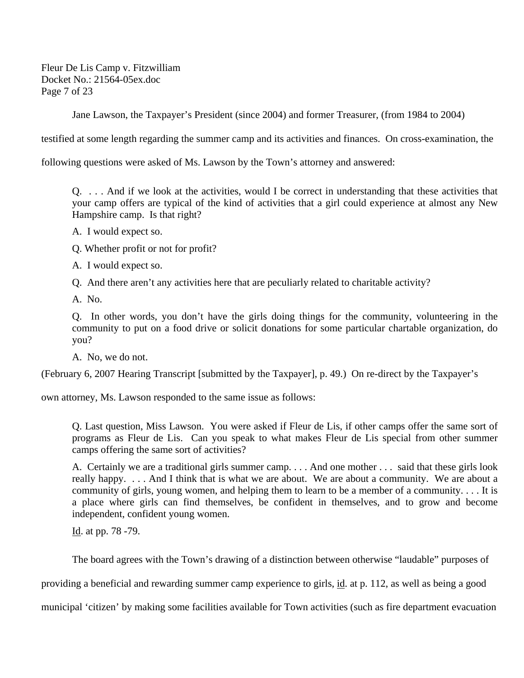Fleur De Lis Camp v. Fitzwilliam Docket No.: 21564-05ex.doc Page 7 of 23

Jane Lawson, the Taxpayer's President (since 2004) and former Treasurer, (from 1984 to 2004)

testified at some length regarding the summer camp and its activities and finances. On cross-examination, the

following questions were asked of Ms. Lawson by the Town's attorney and answered:

Q. . . . And if we look at the activities, would I be correct in understanding that these activities that your camp offers are typical of the kind of activities that a girl could experience at almost any New Hampshire camp. Is that right?

- A. I would expect so.
- Q. Whether profit or not for profit?
- A. I would expect so.
- Q. And there aren't any activities here that are peculiarly related to charitable activity?
- A. No.

Q. In other words, you don't have the girls doing things for the community, volunteering in the community to put on a food drive or solicit donations for some particular chartable organization, do you?

A. No, we do not.

(February 6, 2007 Hearing Transcript [submitted by the Taxpayer], p. 49.) On re-direct by the Taxpayer's

own attorney, Ms. Lawson responded to the same issue as follows:

Q. Last question, Miss Lawson. You were asked if Fleur de Lis, if other camps offer the same sort of programs as Fleur de Lis. Can you speak to what makes Fleur de Lis special from other summer camps offering the same sort of activities?

A. Certainly we are a traditional girls summer camp. . . . And one mother . . . said that these girls look really happy. . . . And I think that is what we are about. We are about a community. We are about a community of girls, young women, and helping them to learn to be a member of a community. . . . It is a place where girls can find themselves, be confident in themselves, and to grow and become independent, confident young women.

Id. at pp. 78 -79.

The board agrees with the Town's drawing of a distinction between otherwise "laudable" purposes of

providing a beneficial and rewarding summer camp experience to girls, id. at p. 112, as well as being a good

municipal 'citizen' by making some facilities available for Town activities (such as fire department evacuation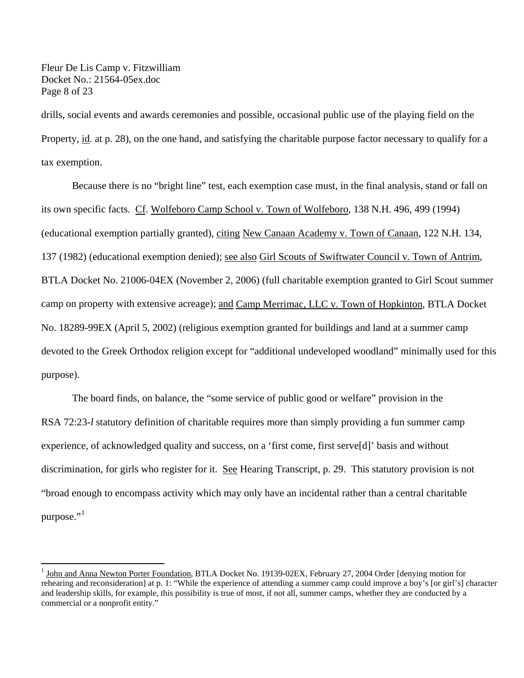Fleur De Lis Camp v. Fitzwilliam Docket No.: 21564-05ex.doc Page 8 of 23

1

drills, social events and awards ceremonies and possible, occasional public use of the playing field on the Property, id. at p. 28), on the one hand, and satisfying the charitable purpose factor necessary to qualify for a tax exemption.

 Because there is no "bright line" test, each exemption case must, in the final analysis, stand or fall on its own specific facts. Cf. Wolfeboro Camp School v. Town of Wolfeboro, 138 N.H. 496, 499 (1994) (educational exemption partially granted), citing New Canaan Academy v. Town of Canaan, 122 N.H. 134, 137 (1982) (educational exemption denied); see also Girl Scouts of Swiftwater Council v. Town of Antrim, BTLA Docket No. 21006-04EX (November 2, 2006) (full charitable exemption granted to Girl Scout summer camp on property with extensive acreage); and Camp Merrimac, LLC v. Town of Hopkinton, BTLA Docket No. 18289-99EX (April 5, 2002) (religious exemption granted for buildings and land at a summer camp devoted to the Greek Orthodox religion except for "additional undeveloped woodland" minimally used for this purpose).

The board finds, on balance, the "some service of public good or welfare" provision in the RSA 72:23-*l* statutory definition of charitable requires more than simply providing a fun summer camp experience, of acknowledged quality and success, on a 'first come, first serve[d]' basis and without discrimination, for girls who register for it. See Hearing Transcript, p. 29. This statutory provision is not "broad enough to encompass activity which may only have an incidental rather than a central charitable purpose."<sup>[1](#page-7-0)</sup>

<span id="page-7-0"></span><sup>1</sup> John and Anna Newton Porter Foundation, BTLA Docket No. 19139-02EX, February 27, 2004 Order [denying motion for rehearing and reconsideration] at p. 1: "While the experience of attending a summer camp could improve a boy's [or girl's] character and leadership skills, for example, this possibility is true of most, if not all, summer camps, whether they are conducted by a commercial or a nonprofit entity."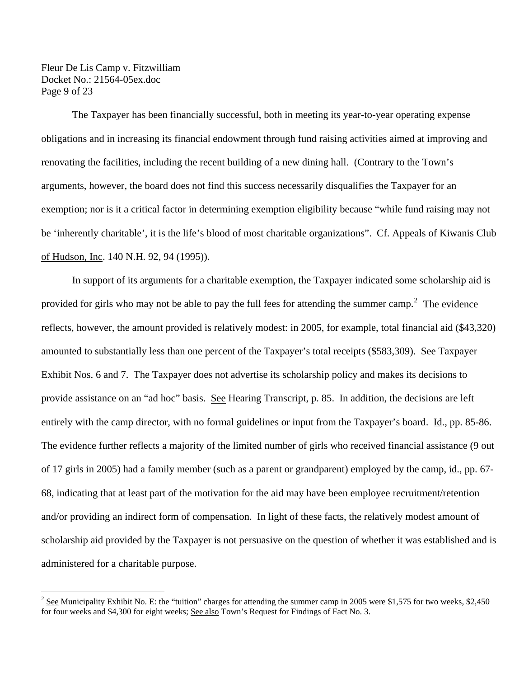Fleur De Lis Camp v. Fitzwilliam Docket No.: 21564-05ex.doc Page 9 of 23

1

The Taxpayer has been financially successful, both in meeting its year-to-year operating expense obligations and in increasing its financial endowment through fund raising activities aimed at improving and renovating the facilities, including the recent building of a new dining hall. (Contrary to the Town's arguments, however, the board does not find this success necessarily disqualifies the Taxpayer for an exemption; nor is it a critical factor in determining exemption eligibility because "while fund raising may not be 'inherently charitable', it is the life's blood of most charitable organizations". Cf. Appeals of Kiwanis Club of Hudson, Inc. 140 N.H. 92, 94 (1995)).

In support of its arguments for a charitable exemption, the Taxpayer indicated some scholarship aid is provided for girls who may not be able to pay the full fees for attending the summer camp.<sup>[2](#page-8-0)</sup> The evidence reflects, however, the amount provided is relatively modest: in 2005, for example, total financial aid (\$43,320) amounted to substantially less than one percent of the Taxpayer's total receipts (\$583,309). See Taxpayer Exhibit Nos. 6 and 7. The Taxpayer does not advertise its scholarship policy and makes its decisions to provide assistance on an "ad hoc" basis. See Hearing Transcript, p. 85. In addition, the decisions are left entirely with the camp director, with no formal guidelines or input from the Taxpayer's board. Id., pp. 85-86. The evidence further reflects a majority of the limited number of girls who received financial assistance (9 out of 17 girls in 2005) had a family member (such as a parent or grandparent) employed by the camp, id., pp. 67- 68, indicating that at least part of the motivation for the aid may have been employee recruitment/retention and/or providing an indirect form of compensation. In light of these facts, the relatively modest amount of scholarship aid provided by the Taxpayer is not persuasive on the question of whether it was established and is administered for a charitable purpose.

<span id="page-8-0"></span> $2^{2}$  See Municipality Exhibit No. E: the "tuition" charges for attending the summer camp in 2005 were \$1,575 for two weeks, \$2,450 for four weeks and \$4,300 for eight weeks; See also Town's Request for Findings of Fact No. 3.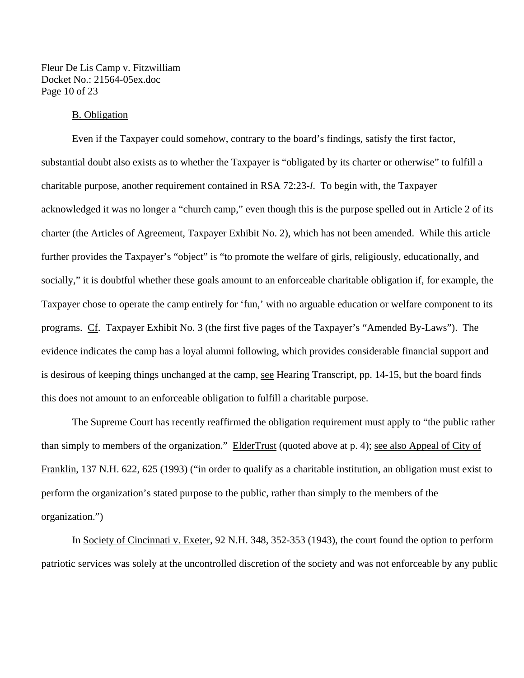Fleur De Lis Camp v. Fitzwilliam Docket No.: 21564-05ex.doc Page 10 of 23

#### B. Obligation

 Even if the Taxpayer could somehow, contrary to the board's findings, satisfy the first factor, substantial doubt also exists as to whether the Taxpayer is "obligated by its charter or otherwise" to fulfill a charitable purpose, another requirement contained in RSA 72:23-*l*. To begin with, the Taxpayer acknowledged it was no longer a "church camp," even though this is the purpose spelled out in Article 2 of its charter (the Articles of Agreement, Taxpayer Exhibit No. 2), which has not been amended. While this article further provides the Taxpayer's "object" is "to promote the welfare of girls, religiously, educationally, and socially," it is doubtful whether these goals amount to an enforceable charitable obligation if, for example, the Taxpayer chose to operate the camp entirely for 'fun,' with no arguable education or welfare component to its programs. Cf. Taxpayer Exhibit No. 3 (the first five pages of the Taxpayer's "Amended By-Laws"). The evidence indicates the camp has a loyal alumni following, which provides considerable financial support and is desirous of keeping things unchanged at the camp, <u>see</u> Hearing Transcript, pp. 14-15, but the board finds this does not amount to an enforceable obligation to fulfill a charitable purpose.

The Supreme Court has recently reaffirmed the obligation requirement must apply to "the public rather than simply to members of the organization." ElderTrust (quoted above at p. 4); see also Appeal of City of Franklin, 137 N.H. 622, 625 (1993) ("in order to qualify as a charitable institution, an obligation must exist to perform the organization's stated purpose to the public, rather than simply to the members of the organization.")

In Society of Cincinnati v. Exeter, 92 N.H. 348, 352-353 (1943), the court found the option to perform patriotic services was solely at the uncontrolled discretion of the society and was not enforceable by any public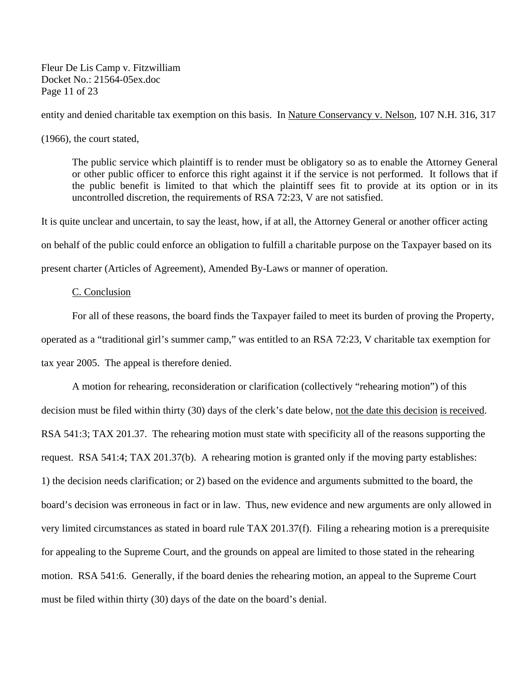Fleur De Lis Camp v. Fitzwilliam Docket No.: 21564-05ex.doc Page 11 of 23

entity and denied charitable tax exemption on this basis. In Nature Conservancy v. Nelson, 107 N.H. 316, 317 (1966), the court stated,

The public service which plaintiff is to render must be obligatory so as to enable the Attorney General or other public officer to enforce this right against it if the service is not performed. It follows that if the public benefit is limited to that which the plaintiff sees fit to provide at its option or in its uncontrolled discretion, the requirements of RSA 72:23, V are not satisfied.

It is quite unclear and uncertain, to say the least, how, if at all, the Attorney General or another officer acting

on behalf of the public could enforce an obligation to fulfill a charitable purpose on the Taxpayer based on its

present charter (Articles of Agreement), Amended By-Laws or manner of operation.

#### C. Conclusion

For all of these reasons, the board finds the Taxpayer failed to meet its burden of proving the Property, operated as a "traditional girl's summer camp," was entitled to an RSA 72:23, V charitable tax exemption for tax year 2005. The appeal is therefore denied.

 A motion for rehearing, reconsideration or clarification (collectively "rehearing motion") of this decision must be filed within thirty (30) days of the clerk's date below, not the date this decision is received. RSA 541:3; TAX 201.37. The rehearing motion must state with specificity all of the reasons supporting the request. RSA 541:4; TAX 201.37(b). A rehearing motion is granted only if the moving party establishes: 1) the decision needs clarification; or 2) based on the evidence and arguments submitted to the board, the board's decision was erroneous in fact or in law. Thus, new evidence and new arguments are only allowed in very limited circumstances as stated in board rule TAX 201.37(f). Filing a rehearing motion is a prerequisite for appealing to the Supreme Court, and the grounds on appeal are limited to those stated in the rehearing motion. RSA 541:6. Generally, if the board denies the rehearing motion, an appeal to the Supreme Court must be filed within thirty (30) days of the date on the board's denial.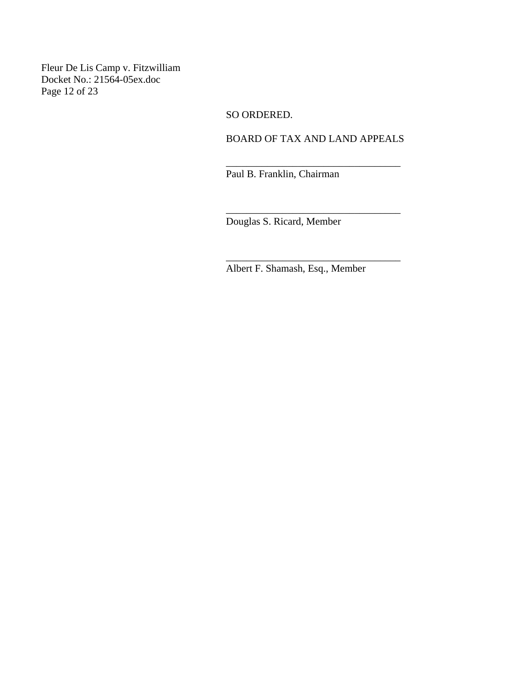Fleur De Lis Camp v. Fitzwilliam Docket No.: 21564-05ex.doc Page 12 of 23

SO ORDERED.

 $\overline{\phantom{a}}$  , which is a set of the contract of the contract of the contract of the contract of the contract of the contract of the contract of the contract of the contract of the contract of the contract of the contract

BOARD OF TAX AND LAND APPEALS

\_\_\_\_\_\_\_\_\_\_\_\_\_\_\_\_\_\_\_\_\_\_\_\_\_\_\_\_\_\_\_\_\_\_

\_\_\_\_\_\_\_\_\_\_\_\_\_\_\_\_\_\_\_\_\_\_\_\_\_\_\_\_\_\_\_\_\_\_

Paul B. Franklin, Chairman

Douglas S. Ricard, Member

Albert F. Shamash, Esq., Member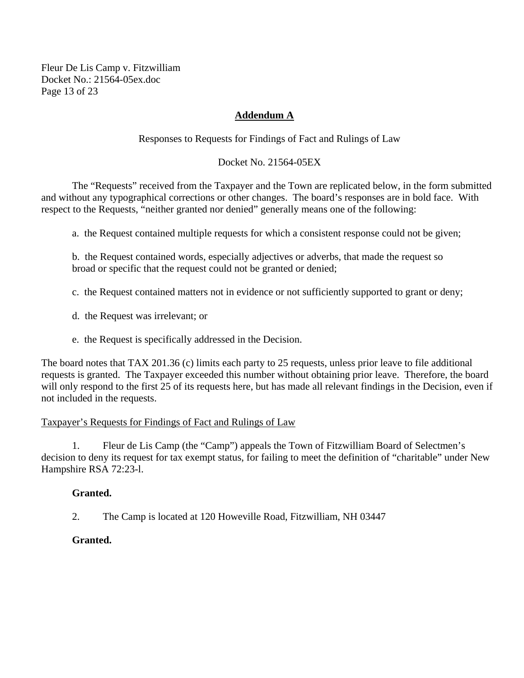Fleur De Lis Camp v. Fitzwilliam Docket No.: 21564-05ex.doc Page 13 of 23

# **Addendum A**

Responses to Requests for Findings of Fact and Rulings of Law

#### Docket No. 21564-05EX

 The "Requests" received from the Taxpayer and the Town are replicated below, in the form submitted and without any typographical corrections or other changes. The board's responses are in bold face. With respect to the Requests, "neither granted nor denied" generally means one of the following:

a. the Request contained multiple requests for which a consistent response could not be given;

b. the Request contained words, especially adjectives or adverbs, that made the request so broad or specific that the request could not be granted or denied;

c. the Request contained matters not in evidence or not sufficiently supported to grant or deny;

- d. the Request was irrelevant; or
- e. the Request is specifically addressed in the Decision.

The board notes that TAX 201.36 (c) limits each party to 25 requests, unless prior leave to file additional requests is granted. The Taxpayer exceeded this number without obtaining prior leave. Therefore, the board will only respond to the first 25 of its requests here, but has made all relevant findings in the Decision, even if not included in the requests.

#### Taxpayer's Requests for Findings of Fact and Rulings of Law

1. Fleur de Lis Camp (the "Camp") appeals the Town of Fitzwilliam Board of Selectmen's decision to deny its request for tax exempt status, for failing to meet the definition of "charitable" under New Hampshire RSA 72:23-l.

#### **Granted.**

2. The Camp is located at 120 Howeville Road, Fitzwilliam, NH 03447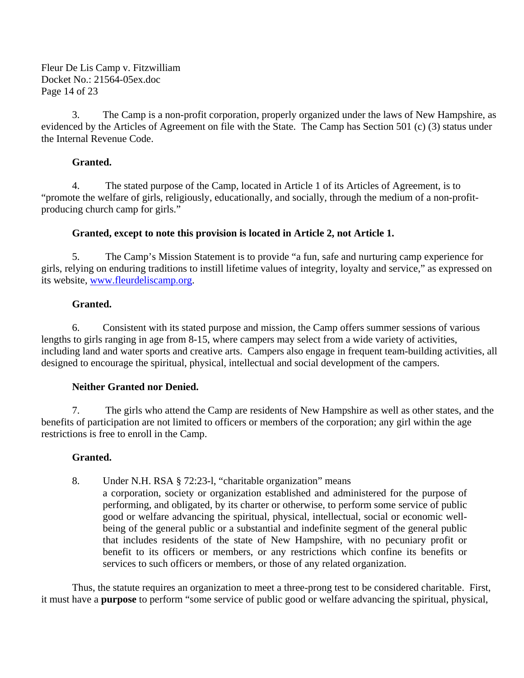Fleur De Lis Camp v. Fitzwilliam Docket No.: 21564-05ex.doc Page 14 of 23

3. The Camp is a non-profit corporation, properly organized under the laws of New Hampshire, as evidenced by the Articles of Agreement on file with the State. The Camp has Section 501 (c) (3) status under the Internal Revenue Code.

# **Granted.**

4. The stated purpose of the Camp, located in Article 1 of its Articles of Agreement, is to "promote the welfare of girls, religiously, educationally, and socially, through the medium of a non-profitproducing church camp for girls."

# **Granted, except to note this provision is located in Article 2, not Article 1.**

5. The Camp's Mission Statement is to provide "a fun, safe and nurturing camp experience for girls, relying on enduring traditions to instill lifetime values of integrity, loyalty and service," as expressed on its website, [www.fleurdeliscamp.org.](http://www.fleurdeliscamp.org/)

# **Granted.**

6. Consistent with its stated purpose and mission, the Camp offers summer sessions of various lengths to girls ranging in age from 8-15, where campers may select from a wide variety of activities, including land and water sports and creative arts. Campers also engage in frequent team-building activities, all designed to encourage the spiritual, physical, intellectual and social development of the campers.

# **Neither Granted nor Denied.**

7. The girls who attend the Camp are residents of New Hampshire as well as other states, and the benefits of participation are not limited to officers or members of the corporation; any girl within the age restrictions is free to enroll in the Camp.

# **Granted.**

8. Under N.H. RSA § 72:23-l, "charitable organization" means a corporation, society or organization established and administered for the purpose of performing, and obligated, by its charter or otherwise, to perform some service of public good or welfare advancing the spiritual, physical, intellectual, social or economic wellbeing of the general public or a substantial and indefinite segment of the general public that includes residents of the state of New Hampshire, with no pecuniary profit or benefit to its officers or members, or any restrictions which confine its benefits or services to such officers or members, or those of any related organization.

Thus, the statute requires an organization to meet a three-prong test to be considered charitable. First, it must have a **purpose** to perform "some service of public good or welfare advancing the spiritual, physical,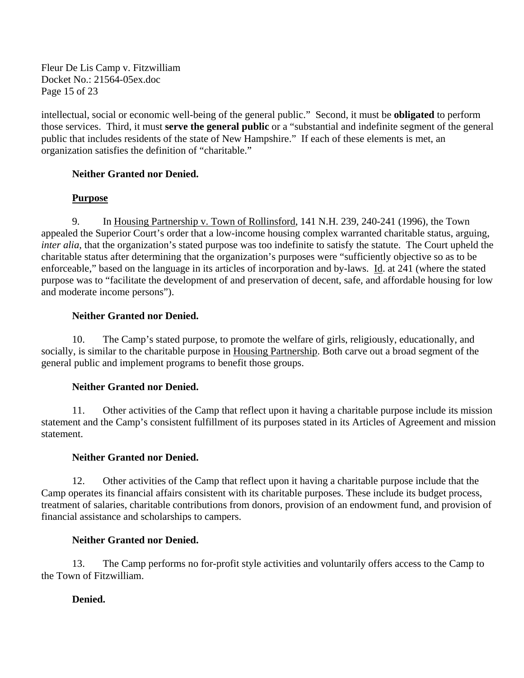Fleur De Lis Camp v. Fitzwilliam Docket No.: 21564-05ex.doc Page 15 of 23

intellectual, social or economic well-being of the general public." Second, it must be **obligated** to perform those services. Third, it must **serve the general public** or a "substantial and indefinite segment of the general public that includes residents of the state of New Hampshire." If each of these elements is met, an organization satisfies the definition of "charitable."

# **Neither Granted nor Denied.**

# **Purpose**

9. In Housing Partnership v. Town of Rollinsford, 141 N.H. 239, 240-241 (1996), the Town appealed the Superior Court's order that a low-income housing complex warranted charitable status, arguing, *inter alia*, that the organization's stated purpose was too indefinite to satisfy the statute. The Court upheld the charitable status after determining that the organization's purposes were "sufficiently objective so as to be enforceable," based on the language in its articles of incorporation and by-laws. Id. at 241 (where the stated purpose was to "facilitate the development of and preservation of decent, safe, and affordable housing for low and moderate income persons").

# **Neither Granted nor Denied.**

10. The Camp's stated purpose, to promote the welfare of girls, religiously, educationally, and socially, is similar to the charitable purpose in Housing Partnership. Both carve out a broad segment of the general public and implement programs to benefit those groups.

# **Neither Granted nor Denied.**

11. Other activities of the Camp that reflect upon it having a charitable purpose include its mission statement and the Camp's consistent fulfillment of its purposes stated in its Articles of Agreement and mission statement.

# **Neither Granted nor Denied.**

12. Other activities of the Camp that reflect upon it having a charitable purpose include that the Camp operates its financial affairs consistent with its charitable purposes. These include its budget process, treatment of salaries, charitable contributions from donors, provision of an endowment fund, and provision of financial assistance and scholarships to campers.

# **Neither Granted nor Denied.**

13. The Camp performs no for-profit style activities and voluntarily offers access to the Camp to the Town of Fitzwilliam.

# **Denied.**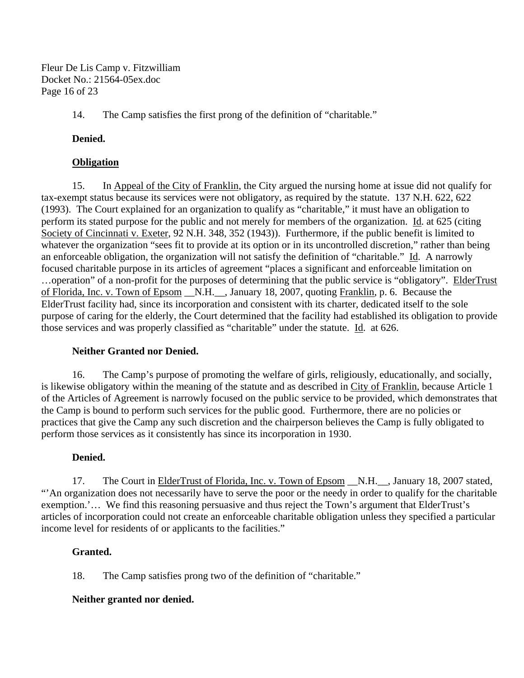Fleur De Lis Camp v. Fitzwilliam Docket No.: 21564-05ex.doc Page 16 of 23

14. The Camp satisfies the first prong of the definition of "charitable."

# **Denied.**

# **Obligation**

15. In Appeal of the City of Franklin, the City argued the nursing home at issue did not qualify for tax-exempt status because its services were not obligatory, as required by the statute. 137 N.H. 622, 622 (1993). The Court explained for an organization to qualify as "charitable," it must have an obligation to perform its stated purpose for the public and not merely for members of the organization. Id. at 625 (citing Society of Cincinnati v. Exeter, 92 N.H. 348, 352 (1943)). Furthermore, if the public benefit is limited to whatever the organization "sees fit to provide at its option or in its uncontrolled discretion," rather than being an enforceable obligation, the organization will not satisfy the definition of "charitable." Id. A narrowly focused charitable purpose in its articles of agreement "places a significant and enforceable limitation on ...operation" of a non-profit for the purposes of determining that the public service is "obligatory". ElderTrust of Florida, Inc. v. Town of Epsom \_\_N.H.\_\_, January 18, 2007, quoting Franklin, p. 6. Because the ElderTrust facility had, since its incorporation and consistent with its charter, dedicated itself to the sole purpose of caring for the elderly, the Court determined that the facility had established its obligation to provide those services and was properly classified as "charitable" under the statute. Id. at 626.

# **Neither Granted nor Denied.**

16. The Camp's purpose of promoting the welfare of girls, religiously, educationally, and socially, is likewise obligatory within the meaning of the statute and as described in City of Franklin, because Article 1 of the Articles of Agreement is narrowly focused on the public service to be provided, which demonstrates that the Camp is bound to perform such services for the public good. Furthermore, there are no policies or practices that give the Camp any such discretion and the chairperson believes the Camp is fully obligated to perform those services as it consistently has since its incorporation in 1930.

# **Denied.**

17. The Court in ElderTrust of Florida, Inc. v. Town of Epsom \_N.H. \_\_, January 18, 2007 stated, "'An organization does not necessarily have to serve the poor or the needy in order to qualify for the charitable exemption.'… We find this reasoning persuasive and thus reject the Town's argument that ElderTrust's articles of incorporation could not create an enforceable charitable obligation unless they specified a particular income level for residents of or applicants to the facilities."

# **Granted.**

18. The Camp satisfies prong two of the definition of "charitable."

# **Neither granted nor denied.**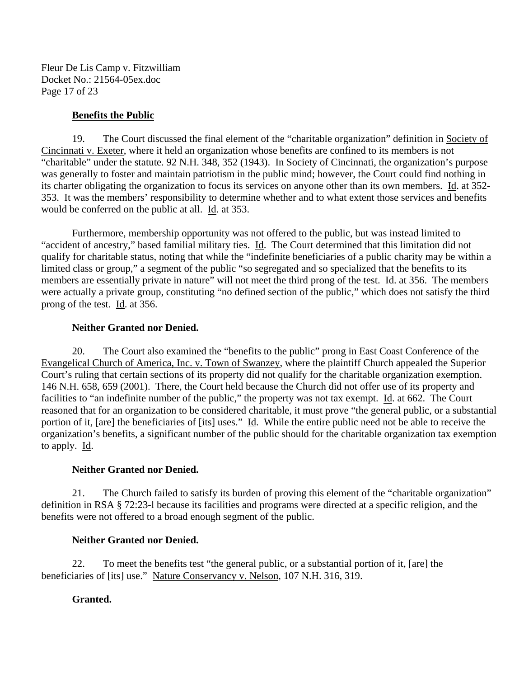Fleur De Lis Camp v. Fitzwilliam Docket No.: 21564-05ex.doc Page 17 of 23

#### **Benefits the Public**

19. The Court discussed the final element of the "charitable organization" definition in Society of Cincinnati v. Exeter, where it held an organization whose benefits are confined to its members is not "charitable" under the statute. 92 N.H. 348, 352 (1943). In Society of Cincinnati, the organization's purpose was generally to foster and maintain patriotism in the public mind; however, the Court could find nothing in its charter obligating the organization to focus its services on anyone other than its own members. Id. at 352- 353. It was the members' responsibility to determine whether and to what extent those services and benefits would be conferred on the public at all. Id. at 353.

Furthermore, membership opportunity was not offered to the public, but was instead limited to "accident of ancestry," based familial military ties. Id. The Court determined that this limitation did not qualify for charitable status, noting that while the "indefinite beneficiaries of a public charity may be within a limited class or group," a segment of the public "so segregated and so specialized that the benefits to its members are essentially private in nature" will not meet the third prong of the test. Id. at 356. The members were actually a private group, constituting "no defined section of the public," which does not satisfy the third prong of the test. Id. at 356.

#### **Neither Granted nor Denied.**

20. The Court also examined the "benefits to the public" prong in East Coast Conference of the Evangelical Church of America, Inc. v. Town of Swanzey, where the plaintiff Church appealed the Superior Court's ruling that certain sections of its property did not qualify for the charitable organization exemption. 146 N.H. 658, 659 (2001). There, the Court held because the Church did not offer use of its property and facilities to "an indefinite number of the public," the property was not tax exempt. Id. at 662. The Court reasoned that for an organization to be considered charitable, it must prove "the general public, or a substantial portion of it, [are] the beneficiaries of [its] uses." Id. While the entire public need not be able to receive the organization's benefits, a significant number of the public should for the charitable organization tax exemption to apply.  $\underline{\text{Id}}$ .

#### **Neither Granted nor Denied.**

21. The Church failed to satisfy its burden of proving this element of the "charitable organization" definition in RSA § 72:23-l because its facilities and programs were directed at a specific religion, and the benefits were not offered to a broad enough segment of the public.

#### **Neither Granted nor Denied.**

22. To meet the benefits test "the general public, or a substantial portion of it, [are] the beneficiaries of [its] use." Nature Conservancy v. Nelson, 107 N.H. 316, 319.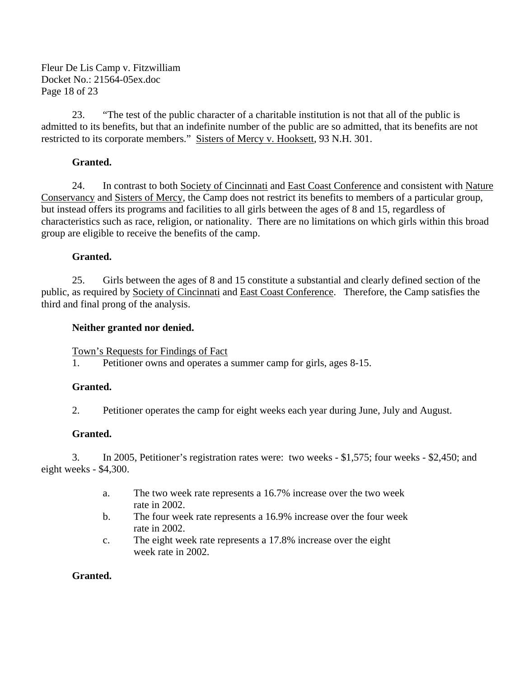Fleur De Lis Camp v. Fitzwilliam Docket No.: 21564-05ex.doc Page 18 of 23

23. "The test of the public character of a charitable institution is not that all of the public is admitted to its benefits, but that an indefinite number of the public are so admitted, that its benefits are not restricted to its corporate members." Sisters of Mercy v. Hooksett, 93 N.H. 301.

# **Granted.**

24. In contrast to both Society of Cincinnati and East Coast Conference and consistent with Nature Conservancy and Sisters of Mercy, the Camp does not restrict its benefits to members of a particular group, but instead offers its programs and facilities to all girls between the ages of 8 and 15, regardless of characteristics such as race, religion, or nationality. There are no limitations on which girls within this broad group are eligible to receive the benefits of the camp.

# **Granted.**

25. Girls between the ages of 8 and 15 constitute a substantial and clearly defined section of the public, as required by Society of Cincinnati and East Coast Conference. Therefore, the Camp satisfies the third and final prong of the analysis.

# **Neither granted nor denied.**

Town's Requests for Findings of Fact

1. Petitioner owns and operates a summer camp for girls, ages 8-15.

# **Granted.**

2. Petitioner operates the camp for eight weeks each year during June, July and August.

# **Granted.**

3. In 2005, Petitioner's registration rates were: two weeks - \$1,575; four weeks - \$2,450; and eight weeks - \$4,300.

- a. The two week rate represents a 16.7% increase over the two week rate in 2002.
- b. The four week rate represents a 16.9% increase over the four week rate in 2002.
- c. The eight week rate represents a 17.8% increase over the eight week rate in 2002.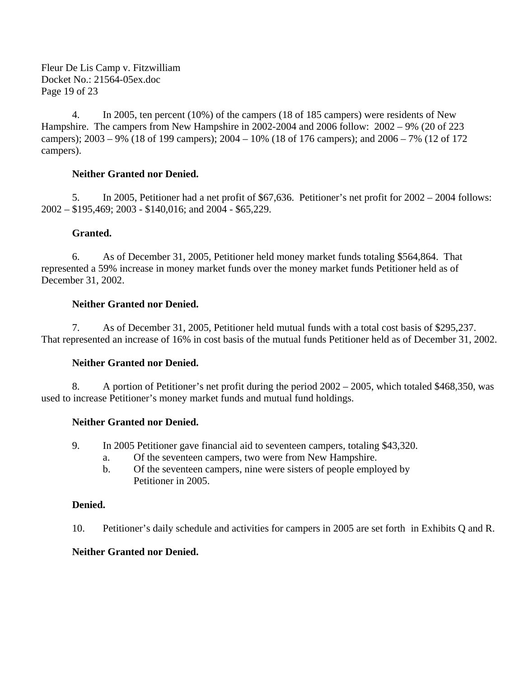Fleur De Lis Camp v. Fitzwilliam Docket No.: 21564-05ex.doc Page 19 of 23

4. In 2005, ten percent (10%) of the campers (18 of 185 campers) were residents of New Hampshire. The campers from New Hampshire in 2002-2004 and 2006 follow: 2002 – 9% (20 of 223 campers); 2003 – 9% (18 of 199 campers); 2004 – 10% (18 of 176 campers); and 2006 – 7% (12 of 172 campers).

#### **Neither Granted nor Denied.**

5. In 2005, Petitioner had a net profit of \$67,636. Petitioner's net profit for 2002 – 2004 follows: 2002 – \$195,469; 2003 - \$140,016; and 2004 - \$65,229.

#### **Granted.**

6. As of December 31, 2005, Petitioner held money market funds totaling \$564,864. That represented a 59% increase in money market funds over the money market funds Petitioner held as of December 31, 2002.

#### **Neither Granted nor Denied.**

7. As of December 31, 2005, Petitioner held mutual funds with a total cost basis of \$295,237. That represented an increase of 16% in cost basis of the mutual funds Petitioner held as of December 31, 2002.

#### **Neither Granted nor Denied.**

8. A portion of Petitioner's net profit during the period 2002 – 2005, which totaled \$468,350, was used to increase Petitioner's money market funds and mutual fund holdings.

# **Neither Granted nor Denied.**

- 9. In 2005 Petitioner gave financial aid to seventeen campers, totaling \$43,320.
	- a. Of the seventeen campers, two were from New Hampshire.
	- b. Of the seventeen campers, nine were sisters of people employed by Petitioner in 2005.

#### **Denied.**

10. Petitioner's daily schedule and activities for campers in 2005 are set forth in Exhibits Q and R.

#### **Neither Granted nor Denied.**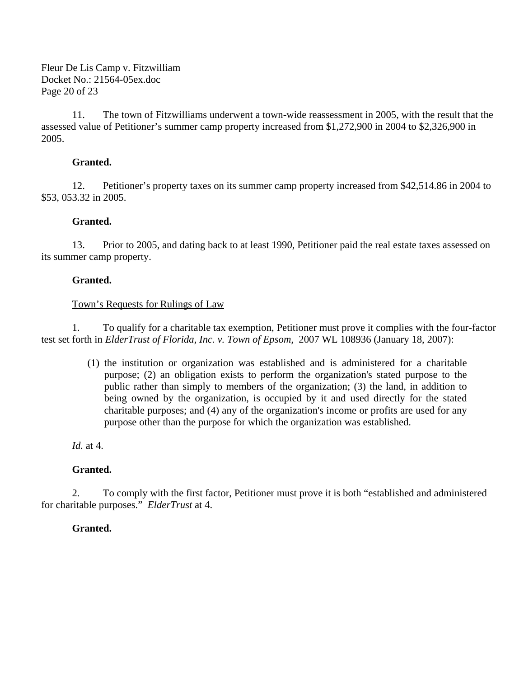Fleur De Lis Camp v. Fitzwilliam Docket No.: 21564-05ex.doc Page 20 of 23

11. The town of Fitzwilliams underwent a town-wide reassessment in 2005, with the result that the assessed value of Petitioner's summer camp property increased from \$1,272,900 in 2004 to \$2,326,900 in 2005.

#### **Granted.**

12. Petitioner's property taxes on its summer camp property increased from \$42,514.86 in 2004 to \$53, 053.32 in 2005.

#### **Granted.**

13. Prior to 2005, and dating back to at least 1990, Petitioner paid the real estate taxes assessed on its summer camp property.

#### **Granted.**

#### Town's Requests for Rulings of Law

1. To qualify for a charitable tax exemption, Petitioner must prove it complies with the four-factor test set forth in *ElderTrust of Florida, Inc. v. Town of Epsom,* 2007 WL 108936 (January 18, 2007):

> (1) the institution or organization was established and is administered for a charitable purpose; (2) an obligation exists to perform the organization's stated purpose to the public rather than simply to members of the organization; (3) the land, in addition to being owned by the organization, is occupied by it and used directly for the stated charitable purposes; and (4) any of the organization's income or profits are used for any purpose other than the purpose for which the organization was established.

*Id.* at 4.

# **Granted.**

2. To comply with the first factor, Petitioner must prove it is both "established and administered for charitable purposes." *ElderTrust* at 4.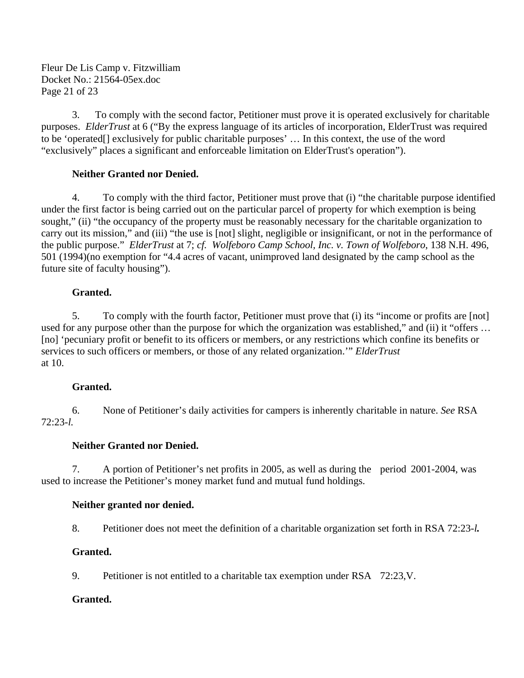Fleur De Lis Camp v. Fitzwilliam Docket No.: 21564-05ex.doc Page 21 of 23

3. To comply with the second factor, Petitioner must prove it is operated exclusively for charitable purposes. *ElderTrust* at 6 ("By the express language of its articles of incorporation, ElderTrust was required to be 'operated[] exclusively for public charitable purposes' … In this context, the use of the word "exclusively" places a significant and enforceable limitation on ElderTrust's operation").

#### **Neither Granted nor Denied.**

4. To comply with the third factor, Petitioner must prove that (i) "the charitable purpose identified under the first factor is being carried out on the particular parcel of property for which exemption is being sought," (ii) "the occupancy of the property must be reasonably necessary for the charitable organization to carry out its mission," and (iii) "the use is [not] slight, negligible or insignificant, or not in the performance of the public purpose." *ElderTrust* at 7; *cf. Wolfeboro Camp School, Inc. v. Town of Wolfeboro*, 138 N.H. 496, 501 (1994)(no exemption for "4.4 acres of vacant, unimproved land designated by the camp school as the future site of faculty housing").

#### **Granted.**

5. To comply with the fourth factor, Petitioner must prove that (i) its "income or profits are [not] used for any purpose other than the purpose for which the organization was established," and (ii) it "offers … [no] 'pecuniary profit or benefit to its officers or members, or any restrictions which confine its benefits or services to such officers or members, or those of any related organization.'" *ElderTrust*  at 10.

# **Granted.**

6. None of Petitioner's daily activities for campers is inherently charitable in nature. *See* RSA 72:23-*l.* 

#### **Neither Granted nor Denied.**

7. A portion of Petitioner's net profits in 2005, as well as during the period 2001-2004, was used to increase the Petitioner's money market fund and mutual fund holdings.

#### **Neither granted nor denied.**

8. Petitioner does not meet the definition of a charitable organization set forth in RSA 72:23-*l.* 

# **Granted.**

9. Petitioner is not entitled to a charitable tax exemption under RSA 72:23,V.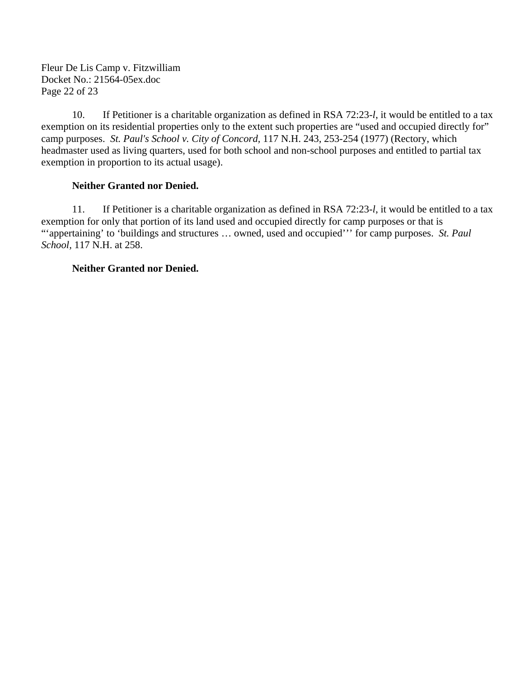Fleur De Lis Camp v. Fitzwilliam Docket No.: 21564-05ex.doc Page 22 of 23

10. If Petitioner is a charitable organization as defined in RSA 72:23-*l*, it would be entitled to a tax exemption on its residential properties only to the extent such properties are "used and occupied directly for" camp purposes. *St. Paul's School v. City of Concord,* 117 N.H. 243, 253-254 (1977) (Rectory, which headmaster used as living quarters, used for both school and non-school purposes and entitled to partial tax exemption in proportion to its actual usage).

# **Neither Granted nor Denied.**

11. If Petitioner is a charitable organization as defined in RSA 72:23-*l*, it would be entitled to a tax exemption for only that portion of its land used and occupied directly for camp purposes or that is "'appertaining' to 'buildings and structures … owned, used and occupied''' for camp purposes. *St. Paul School,* 117 N.H. at 258.

# **Neither Granted nor Denied.**